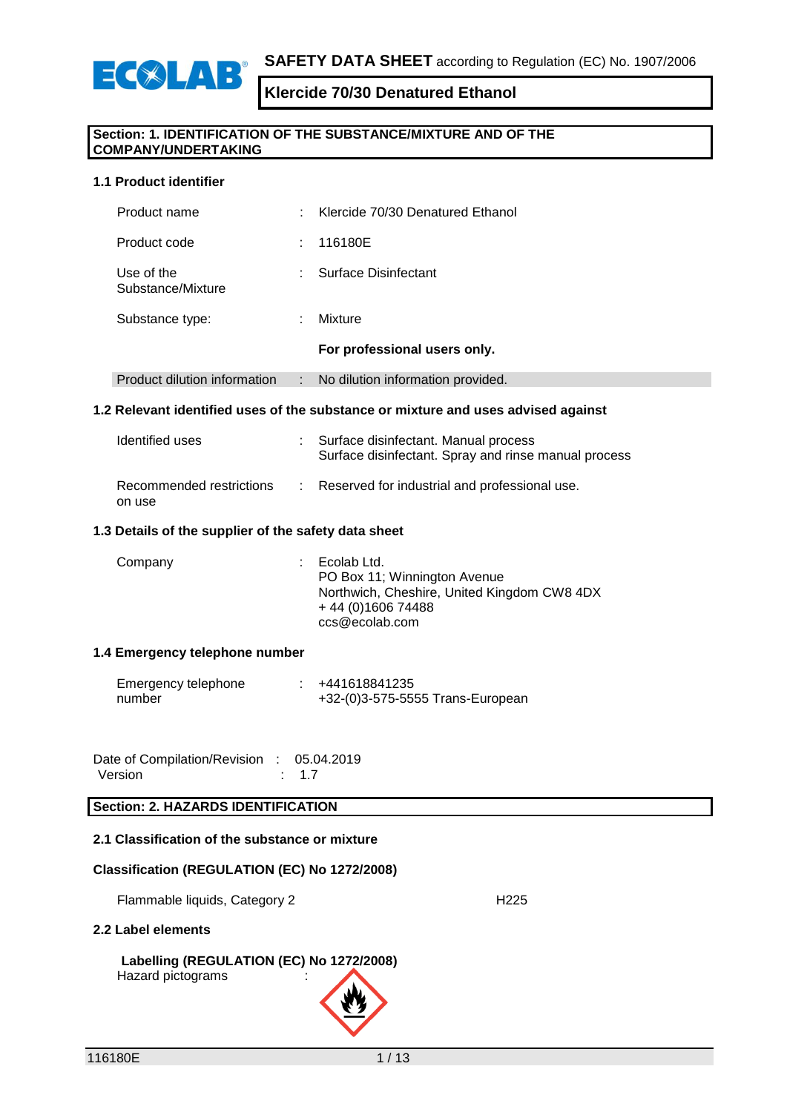

#### **Section: 1. IDENTIFICATION OF THE SUBSTANCE/MIXTURE AND OF THE COMPANY/UNDERTAKING**

#### **1.1 Product identifier**

| Product name                    | ٠  | Klercide 70/30 Denatured Ethanol  |
|---------------------------------|----|-----------------------------------|
| Product code                    | ÷. | 116180E                           |
| Use of the<br>Substance/Mixture | ٠  | Surface Disinfectant              |
| Substance type:                 | ٠  | Mixture                           |
|                                 |    | For professional users only.      |
| Product dilution information    | ÷  | No dilution information provided. |

#### **1.2 Relevant identified uses of the substance or mixture and uses advised against**

| Identified uses                    | Surface disinfectant. Manual process<br>Surface disinfectant. Spray and rinse manual process |
|------------------------------------|----------------------------------------------------------------------------------------------|
| Recommended restrictions<br>on use | Reserved for industrial and professional use.                                                |

#### **1.3 Details of the supplier of the safety data sheet**

| Company | Ecolab Ltd.<br>PO Box 11; Winnington Avenue<br>Northwich, Cheshire, United Kingdom CW8 4DX<br>+44 (0) 1606 74488 |
|---------|------------------------------------------------------------------------------------------------------------------|
|         | ccs@ecolab.com                                                                                                   |

#### **1.4 Emergency telephone number**

| Emergency telephone | +441618841235                    |
|---------------------|----------------------------------|
| number              | +32-(0)3-575-5555 Trans-European |

| Date of Compilation/Revision : 05.04.2019 |            |
|-------------------------------------------|------------|
| Version                                   | $\div$ 1.7 |

### **Section: 2. HAZARDS IDENTIFICATION**

#### **2.1 Classification of the substance or mixture**

#### **Classification (REGULATION (EC) No 1272/2008)**

Flammable liquids, Category 2 **H225** 

#### **2.2 Label elements**

# **Labelling (REGULATION (EC) No 1272/2008)**

Hazard pictograms :

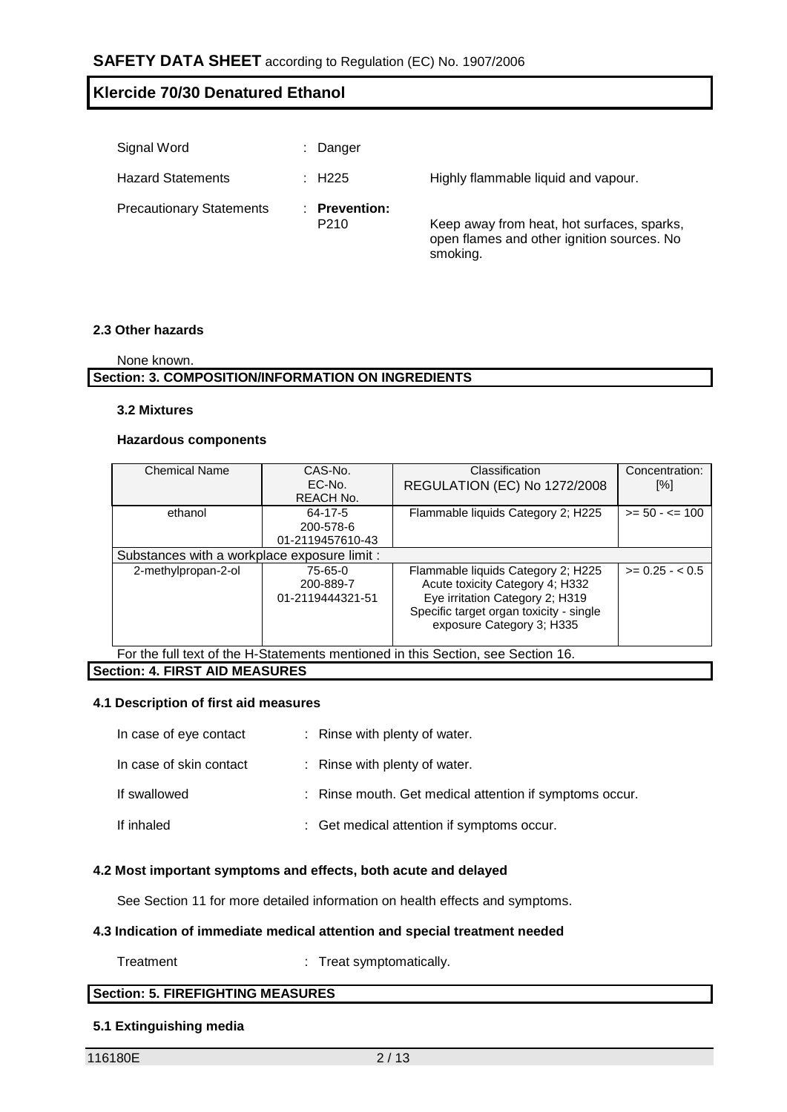| Signal Word                     | Danger                                 |                                                                                          |
|---------------------------------|----------------------------------------|------------------------------------------------------------------------------------------|
| <b>Hazard Statements</b>        | $\therefore$ H225                      | Highly flammable liquid and vapour.                                                      |
| <b>Precautionary Statements</b> | <b>Prevention:</b><br>P <sub>210</sub> | Keep away from heat, hot surfaces, sparks,<br>open flames and other ignition sources. No |

smoking.

#### **2.3 Other hazards**

| None known. |
|-------------|
|             |

# **Section: 3. COMPOSITION/INFORMATION ON INGREDIENTS**

#### **3.2 Mixtures**

#### **Hazardous components**

| <b>Chemical Name</b>                                                                                                                                                                                                                                                   | CAS-No.                            | Classification                      | Concentration:    |  |  |  |  |  |
|------------------------------------------------------------------------------------------------------------------------------------------------------------------------------------------------------------------------------------------------------------------------|------------------------------------|-------------------------------------|-------------------|--|--|--|--|--|
|                                                                                                                                                                                                                                                                        | EC-No.                             | <b>REGULATION (EC) No 1272/2008</b> | [%]               |  |  |  |  |  |
|                                                                                                                                                                                                                                                                        | <b>REACH No.</b>                   |                                     |                   |  |  |  |  |  |
| ethanol                                                                                                                                                                                                                                                                | 64-17-5                            | Flammable liquids Category 2; H225  | $>= 50 - 5 = 100$ |  |  |  |  |  |
|                                                                                                                                                                                                                                                                        | 200-578-6                          |                                     |                   |  |  |  |  |  |
|                                                                                                                                                                                                                                                                        | 01-2119457610-43                   |                                     |                   |  |  |  |  |  |
| Substances with a workplace exposure limit :                                                                                                                                                                                                                           |                                    |                                     |                   |  |  |  |  |  |
| $>= 0.25 - 0.5$<br>2-methylpropan-2-ol<br>75-65-0<br>Flammable liquids Category 2; H225<br>Acute toxicity Category 4; H332<br>200-889-7<br>Eye irritation Category 2; H319<br>01-2119444321-51<br>Specific target organ toxicity - single<br>exposure Category 3; H335 |                                    |                                     |                   |  |  |  |  |  |
| For the full text of the H-Statements mentioned in this Section, see Section 16.                                                                                                                                                                                       |                                    |                                     |                   |  |  |  |  |  |
|                                                                                                                                                                                                                                                                        | $\mathcal{L}$ . TIRAT AIR MEAGUREA |                                     |                   |  |  |  |  |  |

# **Section: 4. FIRST AID MEASURES**

### **4.1 Description of first aid measures**

| In case of eye contact  | : Rinse with plenty of water.                           |
|-------------------------|---------------------------------------------------------|
| In case of skin contact | : Rinse with plenty of water.                           |
| If swallowed            | : Rinse mouth. Get medical attention if symptoms occur. |
| If inhaled              | : Get medical attention if symptoms occur.              |

### **4.2 Most important symptoms and effects, both acute and delayed**

See Section 11 for more detailed information on health effects and symptoms.

#### **4.3 Indication of immediate medical attention and special treatment needed**

Treatment : Treat symptomatically.

# **Section: 5. FIREFIGHTING MEASURES**

#### **5.1 Extinguishing media**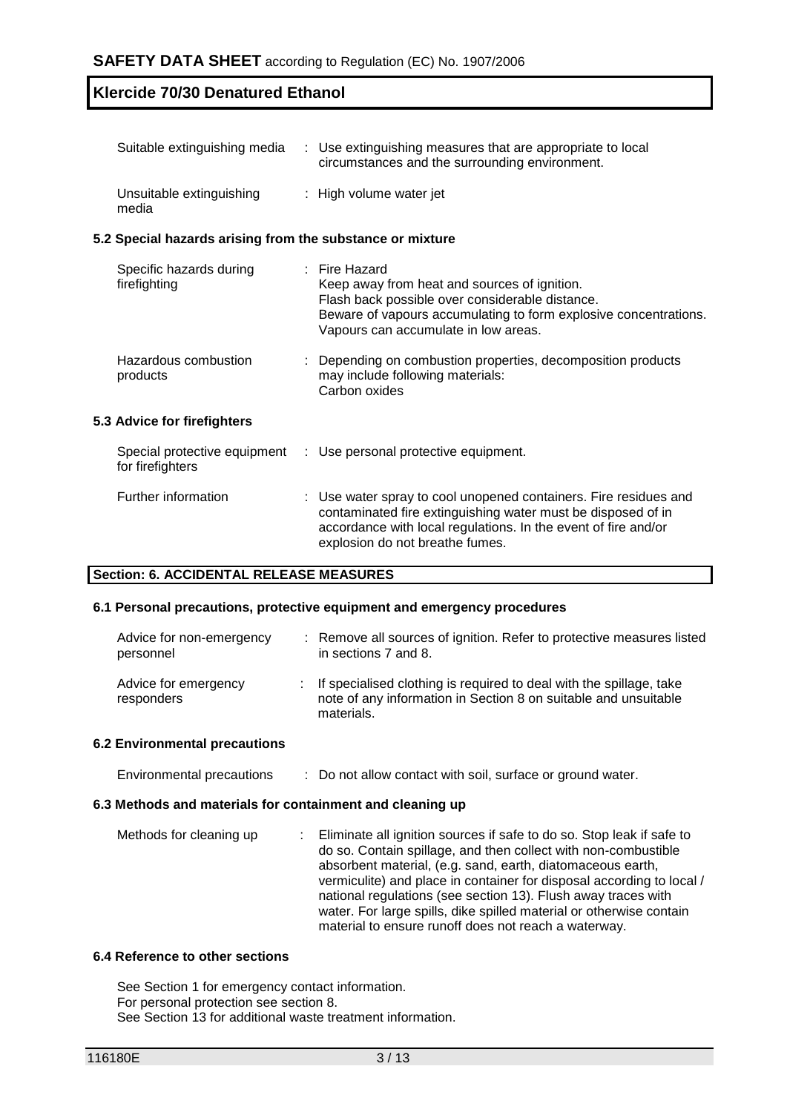| Suitable extinguishing media                              | : Use extinguishing measures that are appropriate to local<br>circumstances and the surrounding environment.                                                                                                                   |
|-----------------------------------------------------------|--------------------------------------------------------------------------------------------------------------------------------------------------------------------------------------------------------------------------------|
| Unsuitable extinguishing<br>media                         | : High volume water jet                                                                                                                                                                                                        |
| 5.2 Special hazards arising from the substance or mixture |                                                                                                                                                                                                                                |
| Specific hazards during<br>firefighting                   | $:$ Fire Hazard<br>Keep away from heat and sources of ignition.<br>Flash back possible over considerable distance.<br>Beware of vapours accumulating to form explosive concentrations.<br>Vapours can accumulate in low areas. |
| Hazardous combustion<br>products                          | Depending on combustion properties, decomposition products<br>may include following materials:<br>Carbon oxides                                                                                                                |
| 5.3 Advice for firefighters                               |                                                                                                                                                                                                                                |
| Special protective equipment<br>for firefighters          | : Use personal protective equipment.                                                                                                                                                                                           |
| Further information                                       | : Use water spray to cool unopened containers. Fire residues and<br>contaminated fire extinguishing water must be disposed of in<br>accordance with local regulations. In the event of fire and/or                             |

### **Section: 6. ACCIDENTAL RELEASE MEASURES**

#### **6.1 Personal precautions, protective equipment and emergency procedures**

| Advice for non-emergency<br>personnel | : Remove all sources of ignition. Refer to protective measures listed<br>in sections 7 and 8.                                                          |
|---------------------------------------|--------------------------------------------------------------------------------------------------------------------------------------------------------|
| Advice for emergency<br>responders    | : If specialised clothing is required to deal with the spillage, take<br>note of any information in Section 8 on suitable and unsuitable<br>materials. |

explosion do not breathe fumes.

#### **6.2 Environmental precautions**

| Environmental precautions | Do not allow contact with soil, surface or ground water. |
|---------------------------|----------------------------------------------------------|
|---------------------------|----------------------------------------------------------|

#### **6.3 Methods and materials for containment and cleaning up**

| Methods for cleaning up | : Eliminate all ignition sources if safe to do so. Stop leak if safe to |
|-------------------------|-------------------------------------------------------------------------|
|                         | do so. Contain spillage, and then collect with non-combustible          |
|                         | absorbent material, (e.g. sand, earth, diatomaceous earth,              |
|                         | vermiculite) and place in container for disposal according to local /   |
|                         | national regulations (see section 13). Flush away traces with           |
|                         | water. For large spills, dike spilled material or otherwise contain     |
|                         | material to ensure runoff does not reach a waterway.                    |

#### **6.4 Reference to other sections**

See Section 1 for emergency contact information. For personal protection see section 8. See Section 13 for additional waste treatment information.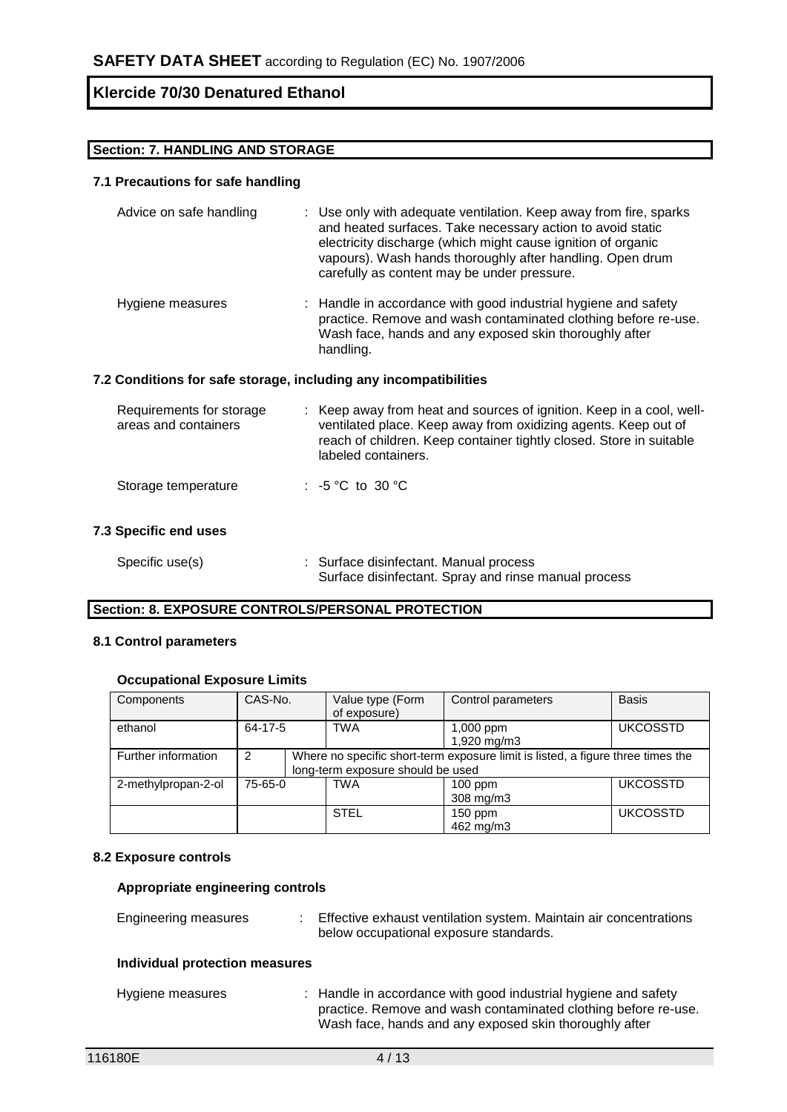### **Section: 7. HANDLING AND STORAGE**

## **7.1 Precautions for safe handling**

| Advice on safe handling | : Use only with adequate ventilation. Keep away from fire, sparks<br>and heated surfaces. Take necessary action to avoid static<br>electricity discharge (which might cause ignition of organic<br>vapours). Wash hands thoroughly after handling. Open drum<br>carefully as content may be under pressure. |
|-------------------------|-------------------------------------------------------------------------------------------------------------------------------------------------------------------------------------------------------------------------------------------------------------------------------------------------------------|
| Hygiene measures        | : Handle in accordance with good industrial hygiene and safety<br>practice. Remove and wash contaminated clothing before re-use.<br>Wash face, hands and any exposed skin thoroughly after<br>handling.                                                                                                     |

### **7.2 Conditions for safe storage, including any incompatibilities**

| Requirements for storage<br>areas and containers | : Keep away from heat and sources of ignition. Keep in a cool, well-<br>ventilated place. Keep away from oxidizing agents. Keep out of<br>reach of children. Keep container tightly closed. Store in suitable<br>labeled containers. |
|--------------------------------------------------|--------------------------------------------------------------------------------------------------------------------------------------------------------------------------------------------------------------------------------------|
| Storage temperature                              | : $-5^{\circ}$ C to 30 $^{\circ}$ C                                                                                                                                                                                                  |

# **7.3 Specific end uses**

| Specific use(s) | : Surface disinfectant. Manual process               |
|-----------------|------------------------------------------------------|
|                 | Surface disinfectant. Spray and rinse manual process |

# **Section: 8. EXPOSURE CONTROLS/PERSONAL PROTECTION**

### **8.1 Control parameters**

#### **Occupational Exposure Limits**

| Components          | CAS-No. |                                                                                                                      | Value type (Form<br>of exposure) | Control parameters                          | <b>Basis</b>    |
|---------------------|---------|----------------------------------------------------------------------------------------------------------------------|----------------------------------|---------------------------------------------|-----------------|
| ethanol             | 64-17-5 |                                                                                                                      | <b>TWA</b>                       | <b>UKCOSSTD</b><br>1,000 ppm<br>1,920 mg/m3 |                 |
| Further information | 2       | Where no specific short-term exposure limit is listed, a figure three times the<br>long-term exposure should be used |                                  |                                             |                 |
| 2-methylpropan-2-ol | 75-65-0 |                                                                                                                      | <b>TWA</b>                       | $100$ ppm<br>308 mg/m3                      | <b>UKCOSSTD</b> |
|                     |         |                                                                                                                      | <b>STEL</b>                      | 150 ppm<br>462 mg/m3                        | <b>UKCOSSTD</b> |

#### **8.2 Exposure controls**

#### **Appropriate engineering controls**

| Engineering measures           | : Effective exhaust ventilation system. Maintain air concentrations<br>below occupational exposure standards. |
|--------------------------------|---------------------------------------------------------------------------------------------------------------|
| Individual protection measures |                                                                                                               |

| Hygiene measures | : Handle in accordance with good industrial hygiene and safety |
|------------------|----------------------------------------------------------------|
|                  | practice. Remove and wash contaminated clothing before re-use. |
|                  | Wash face, hands and any exposed skin thoroughly after         |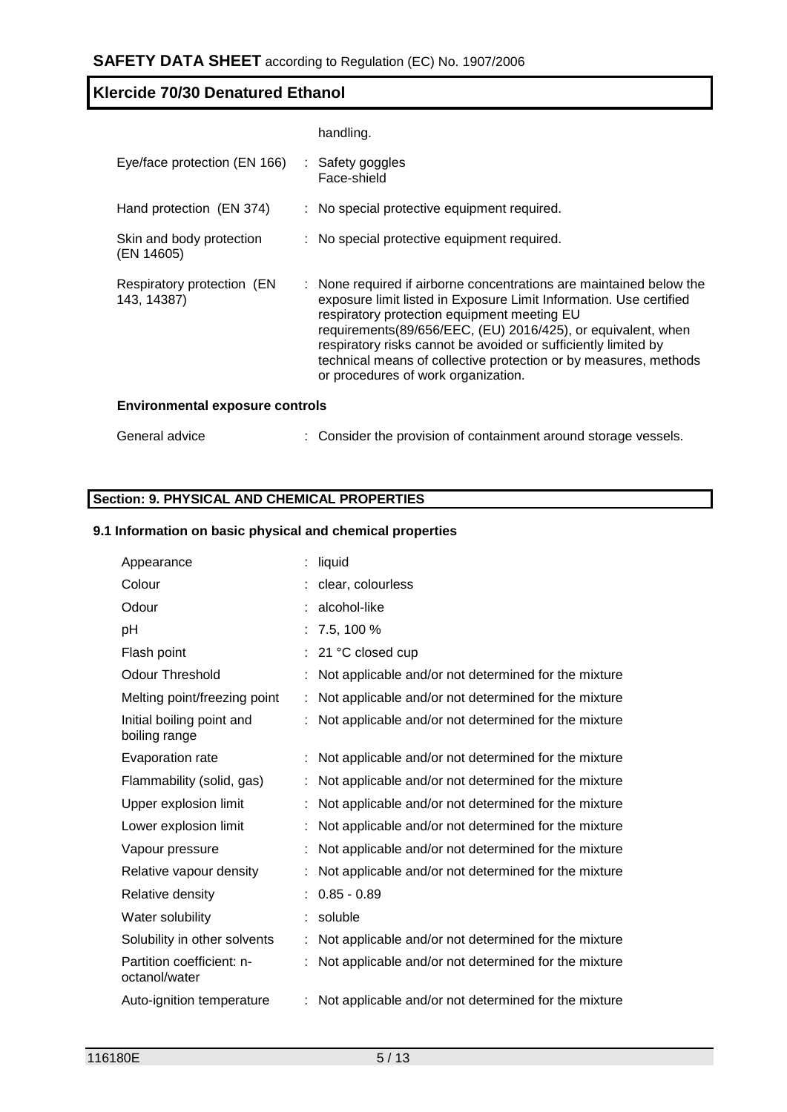|                                           | handling.                                                                                                                                                                                                                                                                                                                                                                                                                             |
|-------------------------------------------|---------------------------------------------------------------------------------------------------------------------------------------------------------------------------------------------------------------------------------------------------------------------------------------------------------------------------------------------------------------------------------------------------------------------------------------|
| Eye/face protection (EN 166)              | : Safety goggles<br>Face-shield                                                                                                                                                                                                                                                                                                                                                                                                       |
| Hand protection (EN 374)                  | : No special protective equipment required.                                                                                                                                                                                                                                                                                                                                                                                           |
| Skin and body protection<br>(EN 14605)    | : No special protective equipment required.                                                                                                                                                                                                                                                                                                                                                                                           |
| Respiratory protection (EN<br>143, 14387) | : None required if airborne concentrations are maintained below the<br>exposure limit listed in Exposure Limit Information. Use certified<br>respiratory protection equipment meeting EU<br>requirements(89/656/EEC, (EU) 2016/425), or equivalent, when<br>respiratory risks cannot be avoided or sufficiently limited by<br>technical means of collective protection or by measures, methods<br>or procedures of work organization. |
| <b>Environmental exposure controls</b>    |                                                                                                                                                                                                                                                                                                                                                                                                                                       |
| General advice                            | : Consider the provision of containment around storage vessels.                                                                                                                                                                                                                                                                                                                                                                       |

# **Section: 9. PHYSICAL AND CHEMICAL PROPERTIES**

### **9.1 Information on basic physical and chemical properties**

| Appearance                                 | liquid                                               |
|--------------------------------------------|------------------------------------------------------|
| Colour                                     | clear, colourless                                    |
| Odour                                      | alcohol-like                                         |
| pH                                         | 7.5, 100 %                                           |
| Flash point                                | 21 °C closed cup                                     |
| <b>Odour Threshold</b>                     | Not applicable and/or not determined for the mixture |
| Melting point/freezing point               | Not applicable and/or not determined for the mixture |
| Initial boiling point and<br>boiling range | Not applicable and/or not determined for the mixture |
| Evaporation rate                           | Not applicable and/or not determined for the mixture |
| Flammability (solid, gas)                  | Not applicable and/or not determined for the mixture |
| Upper explosion limit                      | Not applicable and/or not determined for the mixture |
| Lower explosion limit                      | Not applicable and/or not determined for the mixture |
| Vapour pressure                            | Not applicable and/or not determined for the mixture |
| Relative vapour density                    | Not applicable and/or not determined for the mixture |
| Relative density                           | $0.85 - 0.89$                                        |
| Water solubility                           | soluble                                              |
| Solubility in other solvents               | Not applicable and/or not determined for the mixture |
| Partition coefficient: n-<br>octanol/water | Not applicable and/or not determined for the mixture |
| Auto-ignition temperature                  | Not applicable and/or not determined for the mixture |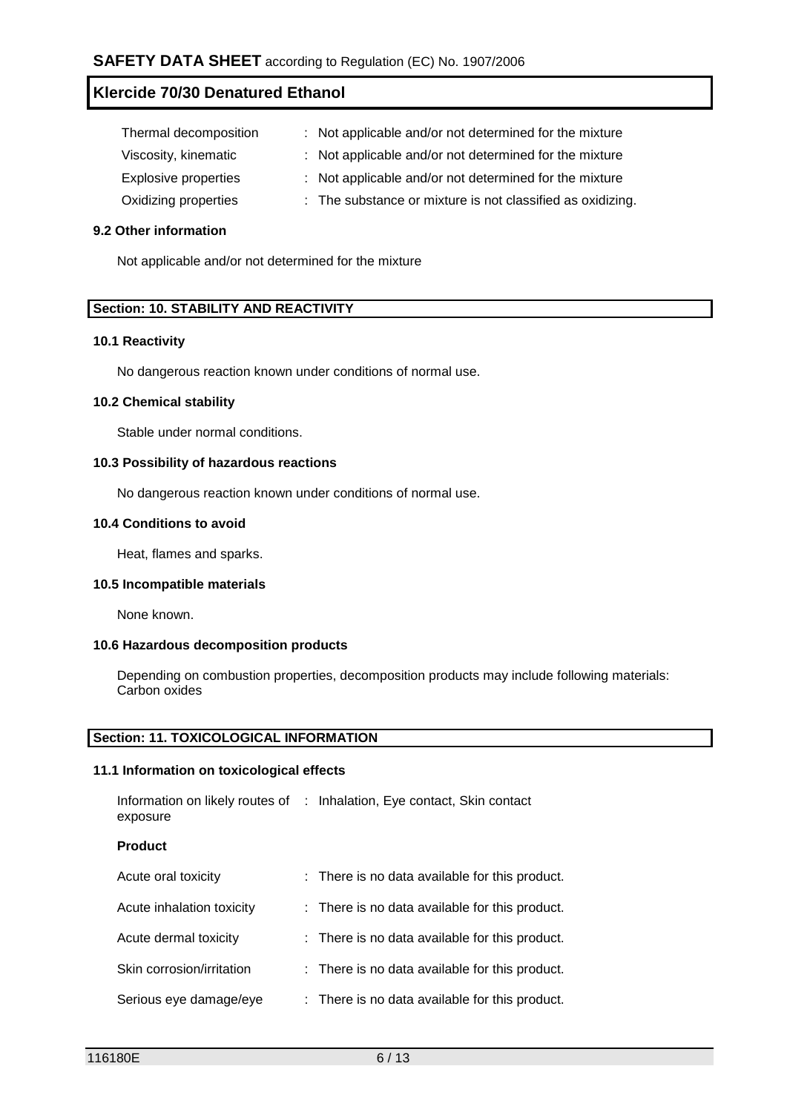| Thermal decomposition       | : Not applicable and/or not determined for the mixture     |
|-----------------------------|------------------------------------------------------------|
| Viscosity, kinematic        | : Not applicable and/or not determined for the mixture     |
| <b>Explosive properties</b> | : Not applicable and/or not determined for the mixture     |
| Oxidizing properties        | : The substance or mixture is not classified as oxidizing. |

## **9.2 Other information**

Not applicable and/or not determined for the mixture

#### **Section: 10. STABILITY AND REACTIVITY**

#### **10.1 Reactivity**

No dangerous reaction known under conditions of normal use.

### **10.2 Chemical stability**

Stable under normal conditions.

#### **10.3 Possibility of hazardous reactions**

No dangerous reaction known under conditions of normal use.

#### **10.4 Conditions to avoid**

Heat, flames and sparks.

#### **10.5 Incompatible materials**

None known.

#### **10.6 Hazardous decomposition products**

Depending on combustion properties, decomposition products may include following materials: Carbon oxides

#### **Section: 11. TOXICOLOGICAL INFORMATION**

#### **11.1 Information on toxicological effects**

| Information on likely routes of<br>exposure | : Inhalation, Eye contact, Skin contact        |
|---------------------------------------------|------------------------------------------------|
| <b>Product</b>                              |                                                |
| Acute oral toxicity                         | : There is no data available for this product. |
| Acute inhalation toxicity                   | : There is no data available for this product. |
| Acute dermal toxicity                       | : There is no data available for this product. |
| Skin corrosion/irritation                   | : There is no data available for this product. |
| Serious eye damage/eye                      | : There is no data available for this product. |
|                                             |                                                |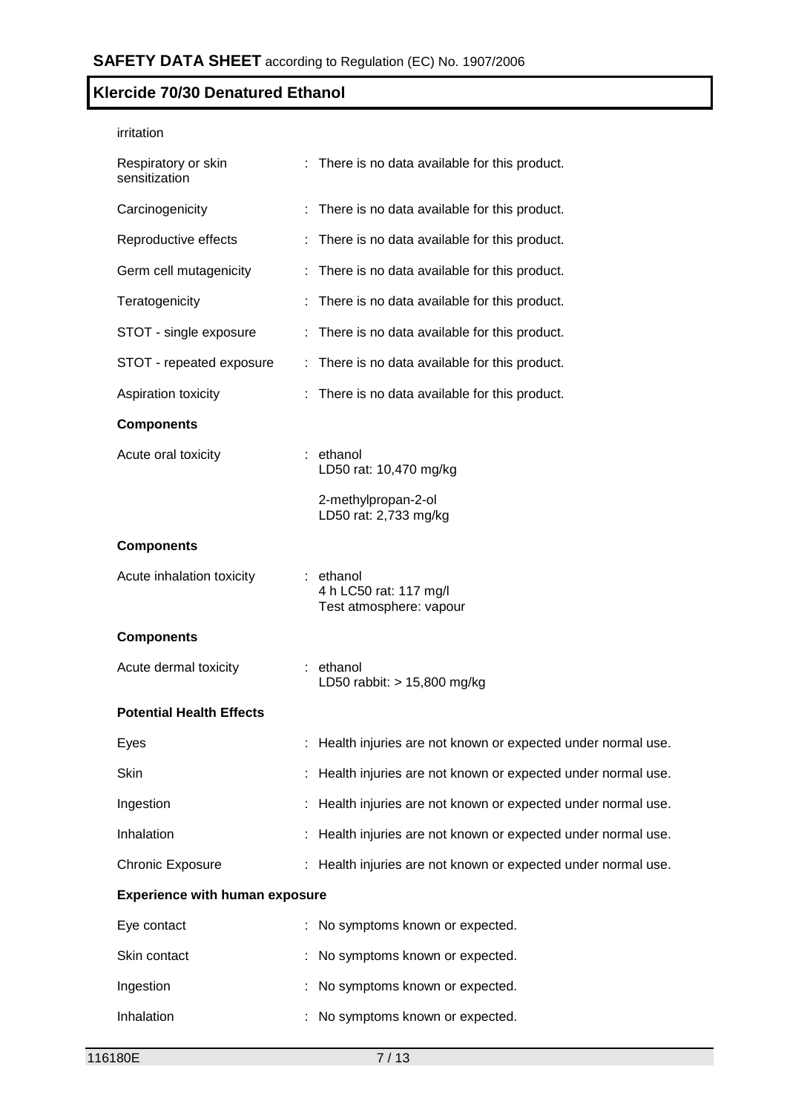| irritation                            |                                                                |
|---------------------------------------|----------------------------------------------------------------|
| Respiratory or skin<br>sensitization  | : There is no data available for this product.                 |
| Carcinogenicity                       | : There is no data available for this product.                 |
| Reproductive effects                  | : There is no data available for this product.                 |
| Germ cell mutagenicity                | : There is no data available for this product.                 |
| Teratogenicity                        | There is no data available for this product.                   |
| STOT - single exposure                | : There is no data available for this product.                 |
| STOT - repeated exposure              | : There is no data available for this product.                 |
| Aspiration toxicity                   | There is no data available for this product.                   |
| <b>Components</b>                     |                                                                |
| Acute oral toxicity                   | : ethanol<br>LD50 rat: 10,470 mg/kg                            |
|                                       | 2-methylpropan-2-ol<br>LD50 rat: 2,733 mg/kg                   |
| <b>Components</b>                     |                                                                |
| Acute inhalation toxicity             | : ethanol<br>4 h LC50 rat: 117 mg/l<br>Test atmosphere: vapour |
| <b>Components</b>                     |                                                                |
| Acute dermal toxicity                 | : ethanol<br>LD50 rabbit: $> 15,800$ mg/kg                     |
| <b>Potential Health Effects</b>       |                                                                |
| Eyes                                  | : Health injuries are not known or expected under normal use.  |
| Skin                                  | Health injuries are not known or expected under normal use.    |
| Ingestion                             | Health injuries are not known or expected under normal use.    |
| Inhalation                            | : Health injuries are not known or expected under normal use.  |
| <b>Chronic Exposure</b>               | : Health injuries are not known or expected under normal use.  |
| <b>Experience with human exposure</b> |                                                                |
| Eye contact                           | : No symptoms known or expected.                               |
| Skin contact                          | No symptoms known or expected.                                 |
| Ingestion                             | No symptoms known or expected.                                 |
| Inhalation                            | No symptoms known or expected.                                 |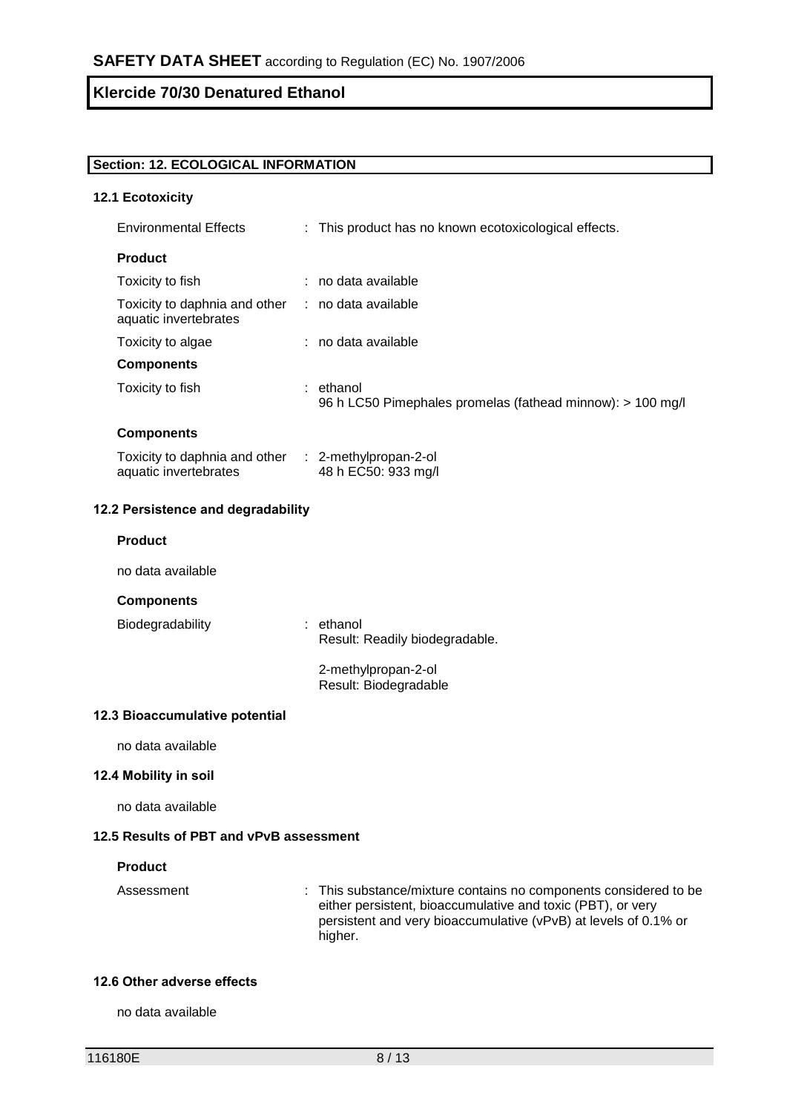# **Section: 12. ECOLOGICAL INFORMATION**

#### **12.1 Ecotoxicity**

| <b>Environmental Effects</b>                                                 | : This product has no known ecotoxicological effects.                   |
|------------------------------------------------------------------------------|-------------------------------------------------------------------------|
| <b>Product</b>                                                               |                                                                         |
| Toxicity to fish                                                             | : no data available                                                     |
| Toxicity to daphnia and other<br>aquatic invertebrates                       | : no data available                                                     |
| Toxicity to algae                                                            | : no data available                                                     |
| <b>Components</b>                                                            |                                                                         |
| Toxicity to fish                                                             | : ethanol<br>96 h LC50 Pimephales promelas (fathead minnow): > 100 mg/l |
| <b>Components</b>                                                            |                                                                         |
| Toxicity to daphnia and other : 2-methylpropan-2-ol<br>aquatic invertebrates | 48 h EC50: 933 mg/l                                                     |
| 12.2 Persistence and degradability                                           |                                                                         |
| <b>Product</b>                                                               |                                                                         |
| no data available                                                            |                                                                         |
| <b>Components</b>                                                            |                                                                         |
| Biodegradability                                                             | : ethanol<br>Result: Readily biodegradable.                             |
|                                                                              | 2-methylpropan-2-ol<br>Result: Biodegradable                            |
| 12.3 Bioaccumulative potential                                               |                                                                         |
|                                                                              |                                                                         |

# no data available

# **12.4 Mobility in soil**

no data available

# **12.5 Results of PBT and vPvB assessment**

#### **Product**

Assessment : This substance/mixture contains no components considered to be either persistent, bioaccumulative and toxic (PBT), or very persistent and very bioaccumulative (vPvB) at levels of 0.1% or higher.

#### **12.6 Other adverse effects**

no data available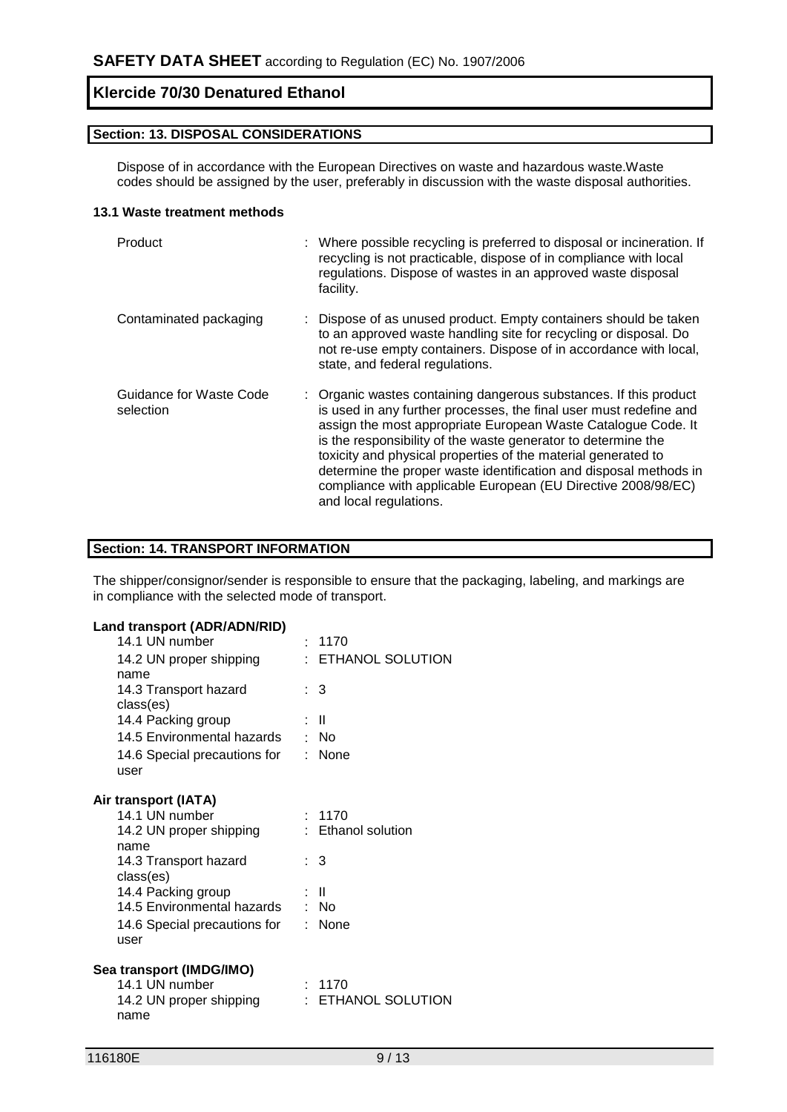## **Section: 13. DISPOSAL CONSIDERATIONS**

Dispose of in accordance with the European Directives on waste and hazardous waste.Waste codes should be assigned by the user, preferably in discussion with the waste disposal authorities.

#### **13.1 Waste treatment methods**

| Product                              | : Where possible recycling is preferred to disposal or incineration. If<br>recycling is not practicable, dispose of in compliance with local<br>regulations. Dispose of wastes in an approved waste disposal<br>facility.                                                                                                                                                                                                                                                                                  |
|--------------------------------------|------------------------------------------------------------------------------------------------------------------------------------------------------------------------------------------------------------------------------------------------------------------------------------------------------------------------------------------------------------------------------------------------------------------------------------------------------------------------------------------------------------|
| Contaminated packaging               | : Dispose of as unused product. Empty containers should be taken<br>to an approved waste handling site for recycling or disposal. Do<br>not re-use empty containers. Dispose of in accordance with local,<br>state, and federal regulations.                                                                                                                                                                                                                                                               |
| Guidance for Waste Code<br>selection | : Organic wastes containing dangerous substances. If this product<br>is used in any further processes, the final user must redefine and<br>assign the most appropriate European Waste Catalogue Code. It<br>is the responsibility of the waste generator to determine the<br>toxicity and physical properties of the material generated to<br>determine the proper waste identification and disposal methods in<br>compliance with applicable European (EU Directive 2008/98/EC)<br>and local regulations. |

#### **Section: 14. TRANSPORT INFORMATION**

The shipper/consignor/sender is responsible to ensure that the packaging, labeling, and markings are in compliance with the selected mode of transport.

# **Land transport (ADR/ADN/RID)**

| $\cdots$                     |                    |
|------------------------------|--------------------|
| 14.1 UN number               | : 1170             |
| 14.2 UN proper shipping      | : ETHANOL SOLUTION |
| name                         |                    |
| 14.3 Transport hazard        | : 3                |
| class(es)                    |                    |
| 14.4 Packing group           | : II               |
| 14.5 Environmental hazards   | : No               |
| 14.6 Special precautions for | : None             |
| user                         |                    |
| Air transport (IATA)         |                    |
| 14.1 UN number               | : 1170             |
| 14.2 UN proper shipping      | : Ethanol solution |
| name                         |                    |
| 14.3 Transport hazard        | $\therefore$ 3     |
| class(es)                    |                    |
| 14.4 Packing group           | $\mathbf{I}$       |
| 14.5 Environmental hazards   | : No               |
| 14.6 Special precautions for | : None             |
| user                         |                    |
| Sea transport (IMDG/IMO)     |                    |
| 14.1 UN number               | : 1170             |
| 14.2 UN proper shipping      | ETHANOL SOLUTION   |
| name                         |                    |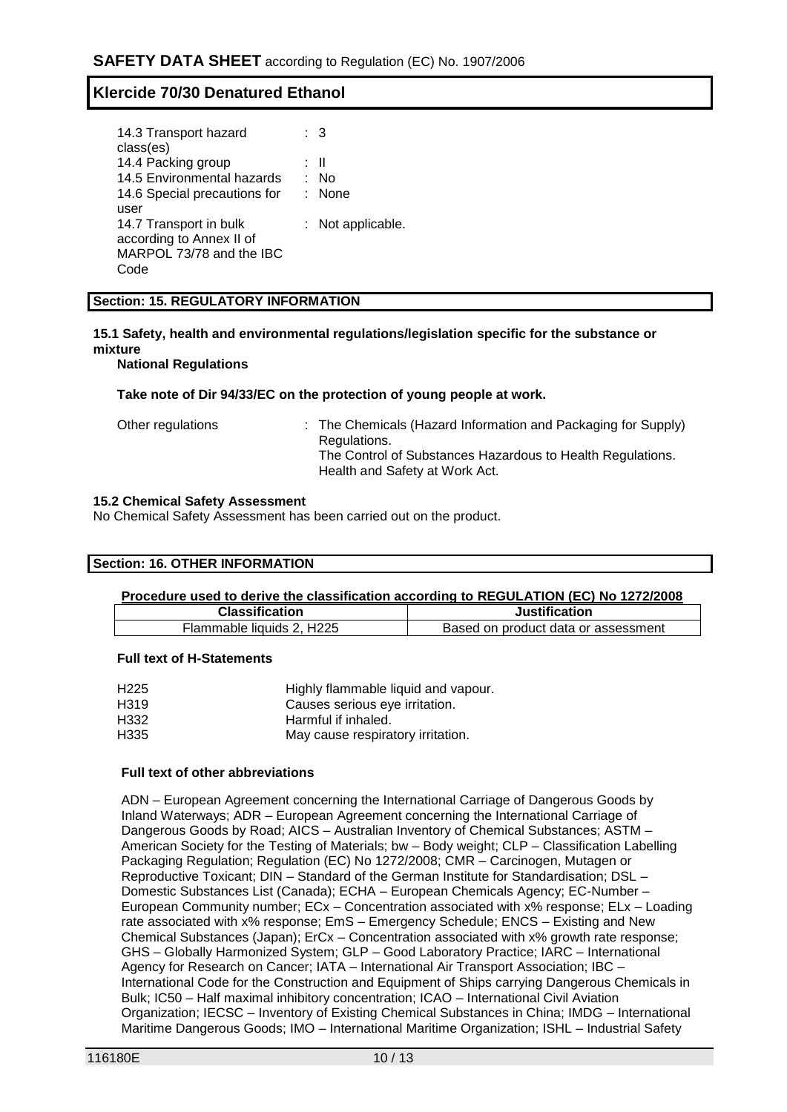| 14.3 Transport hazard        | : 3               |
|------------------------------|-------------------|
| class(es)                    |                   |
| 14.4 Packing group           | : II              |
| 14.5 Environmental hazards   | : No              |
| 14.6 Special precautions for | : None            |
|                              |                   |
| user                         |                   |
| 14.7 Transport in bulk       | : Not applicable. |
| according to Annex II of     |                   |
| MARPOL 73/78 and the IBC     |                   |
|                              |                   |

#### **Section: 15. REGULATORY INFORMATION**

# **15.1 Safety, health and environmental regulations/legislation specific for the substance or mixture**

**National Regulations**

#### **Take note of Dir 94/33/EC on the protection of young people at work.**

| Other regulations | : The Chemicals (Hazard Information and Packaging for Supply)<br>Regulations.<br>The Control of Substances Hazardous to Health Regulations.<br>Health and Safety at Work Act. |
|-------------------|-------------------------------------------------------------------------------------------------------------------------------------------------------------------------------|
|                   |                                                                                                                                                                               |

#### **15.2 Chemical Safety Assessment**

No Chemical Safety Assessment has been carried out on the product.

#### **Section: 16. OTHER INFORMATION**

#### **Procedure used to derive the classification according to REGULATION (EC) No 1272/2008**

| <b>Classification</b>     | <b>Justification</b>                |
|---------------------------|-------------------------------------|
| Flammable liquids 2. H225 | Based on product data or assessment |

#### **Full text of H-Statements**

| H <sub>225</sub> | Highly flammable liquid and vapour. |
|------------------|-------------------------------------|
| H319             | Causes serious eye irritation.      |
| H332             | Harmful if inhaled.                 |
| H335             | May cause respiratory irritation.   |

### **Full text of other abbreviations**

ADN – European Agreement concerning the International Carriage of Dangerous Goods by Inland Waterways; ADR – European Agreement concerning the International Carriage of Dangerous Goods by Road; AICS – Australian Inventory of Chemical Substances; ASTM – American Society for the Testing of Materials; bw – Body weight; CLP – Classification Labelling Packaging Regulation; Regulation (EC) No 1272/2008; CMR – Carcinogen, Mutagen or Reproductive Toxicant; DIN – Standard of the German Institute for Standardisation; DSL – Domestic Substances List (Canada); ECHA – European Chemicals Agency; EC-Number – European Community number; ECx – Concentration associated with x% response; ELx – Loading rate associated with x% response; EmS – Emergency Schedule; ENCS – Existing and New Chemical Substances (Japan); ErCx – Concentration associated with x% growth rate response; GHS – Globally Harmonized System; GLP – Good Laboratory Practice; IARC – International Agency for Research on Cancer; IATA – International Air Transport Association; IBC – International Code for the Construction and Equipment of Ships carrying Dangerous Chemicals in Bulk; IC50 – Half maximal inhibitory concentration; ICAO – International Civil Aviation Organization; IECSC – Inventory of Existing Chemical Substances in China; IMDG – International Maritime Dangerous Goods; IMO – International Maritime Organization; ISHL – Industrial Safety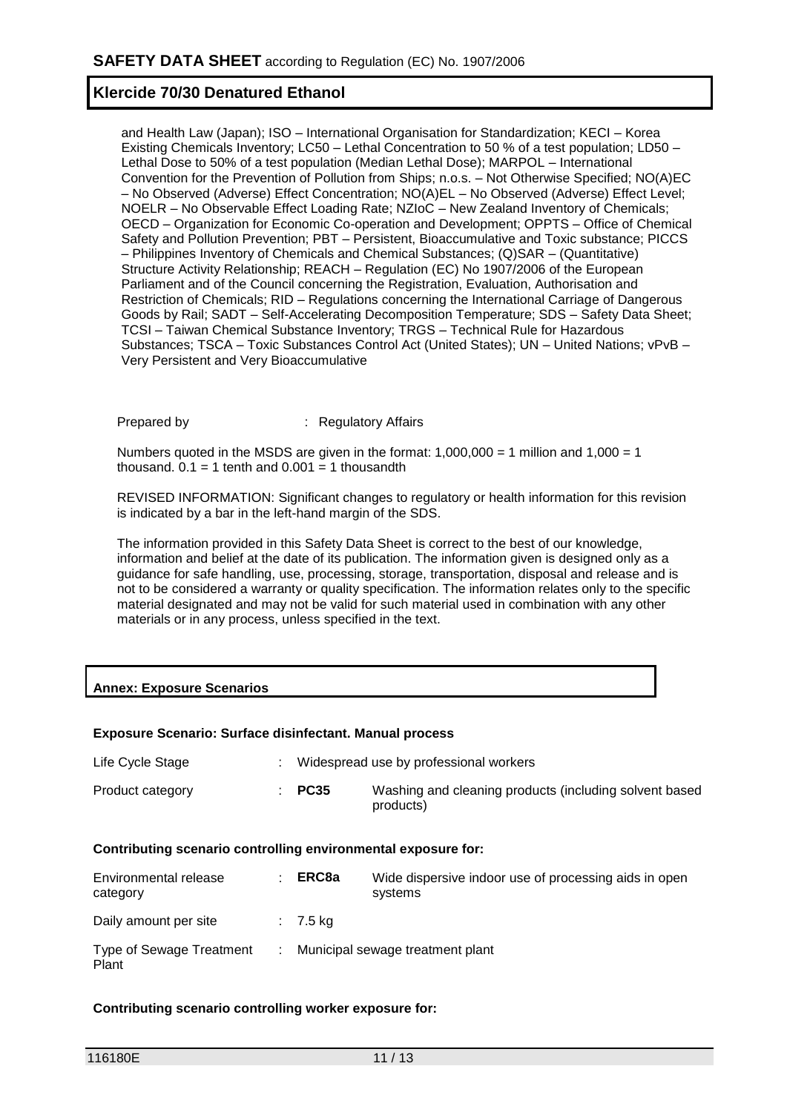and Health Law (Japan); ISO – International Organisation for Standardization; KECI – Korea Existing Chemicals Inventory; LC50 – Lethal Concentration to 50 % of a test population; LD50 – Lethal Dose to 50% of a test population (Median Lethal Dose); MARPOL – International Convention for the Prevention of Pollution from Ships; n.o.s. – Not Otherwise Specified; NO(A)EC – No Observed (Adverse) Effect Concentration; NO(A)EL – No Observed (Adverse) Effect Level; NOELR – No Observable Effect Loading Rate; NZIoC – New Zealand Inventory of Chemicals; OECD – Organization for Economic Co-operation and Development; OPPTS – Office of Chemical Safety and Pollution Prevention; PBT – Persistent, Bioaccumulative and Toxic substance; PICCS – Philippines Inventory of Chemicals and Chemical Substances; (Q)SAR – (Quantitative) Structure Activity Relationship; REACH – Regulation (EC) No 1907/2006 of the European Parliament and of the Council concerning the Registration, Evaluation, Authorisation and Restriction of Chemicals; RID – Regulations concerning the International Carriage of Dangerous Goods by Rail; SADT – Self-Accelerating Decomposition Temperature; SDS – Safety Data Sheet; TCSI – Taiwan Chemical Substance Inventory; TRGS – Technical Rule for Hazardous Substances; TSCA – Toxic Substances Control Act (United States); UN – United Nations; vPvB – Very Persistent and Very Bioaccumulative

Prepared by : Regulatory Affairs

Numbers quoted in the MSDS are given in the format:  $1,000,000 = 1$  million and  $1,000 = 1$ thousand.  $0.1 = 1$  tenth and  $0.001 = 1$  thousandth

REVISED INFORMATION: Significant changes to regulatory or health information for this revision is indicated by a bar in the left-hand margin of the SDS.

The information provided in this Safety Data Sheet is correct to the best of our knowledge, information and belief at the date of its publication. The information given is designed only as a guidance for safe handling, use, processing, storage, transportation, disposal and release and is not to be considered a warranty or quality specification. The information relates only to the specific material designated and may not be valid for such material used in combination with any other materials or in any process, unless specified in the text.

# **Annex: Exposure Scenarios**

### **Exposure Scenario: Surface disinfectant. Manual process**

| Life Cycle Stage |                   | Widespread use by professional workers                              |
|------------------|-------------------|---------------------------------------------------------------------|
| Product category | $\therefore$ PC35 | Washing and cleaning products (including solvent based<br>products) |

#### **Contributing scenario controlling environmental exposure for:**

| Environmental release<br>category        | ERC8a      | Wide dispersive indoor use of processing aids in open<br>systems |
|------------------------------------------|------------|------------------------------------------------------------------|
| Daily amount per site                    | $: 7.5$ kg |                                                                  |
| <b>Type of Sewage Treatment</b><br>Plant |            | : Municipal sewage treatment plant                               |

### **Contributing scenario controlling worker exposure for:**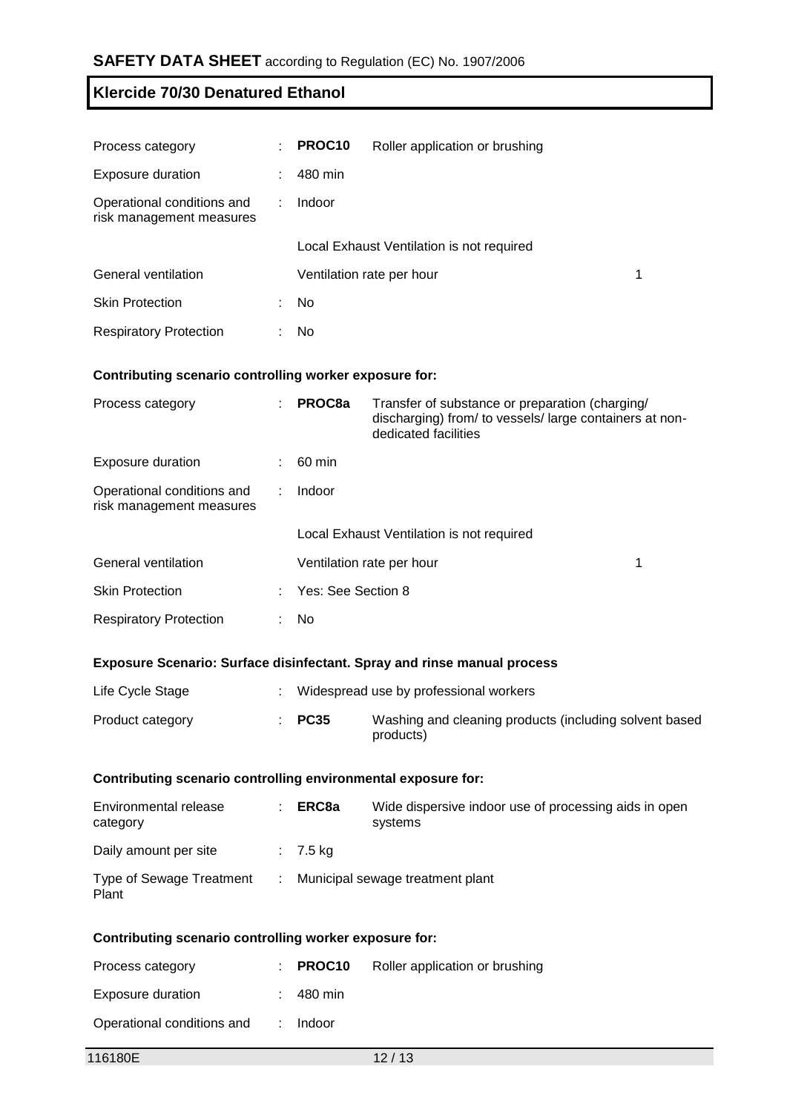| Process category                                       | ÷. | PROC10                    | Roller application or brushing            |   |
|--------------------------------------------------------|----|---------------------------|-------------------------------------------|---|
| <b>Exposure duration</b>                               |    | 480 min                   |                                           |   |
| Operational conditions and<br>risk management measures |    | Indoor                    |                                           |   |
|                                                        |    |                           | Local Exhaust Ventilation is not required |   |
| General ventilation                                    |    | Ventilation rate per hour |                                           | 1 |
| <b>Skin Protection</b>                                 |    | No.                       |                                           |   |
| <b>Respiratory Protection</b>                          |    | No.                       |                                           |   |

### **Contributing scenario controlling worker exposure for:**

| Process category                                       | ÷ | PROC8a             | Transfer of substance or preparation (charging/<br>discharging) from/ to vessels/large containers at non-<br>dedicated facilities |   |
|--------------------------------------------------------|---|--------------------|-----------------------------------------------------------------------------------------------------------------------------------|---|
| <b>Exposure duration</b>                               |   | 60 min             |                                                                                                                                   |   |
| Operational conditions and<br>risk management measures |   | Indoor             |                                                                                                                                   |   |
|                                                        |   |                    | Local Exhaust Ventilation is not required                                                                                         |   |
| General ventilation                                    |   |                    | Ventilation rate per hour                                                                                                         | 1 |
| <b>Skin Protection</b>                                 |   | Yes: See Section 8 |                                                                                                                                   |   |
| <b>Respiratory Protection</b>                          |   | <b>No</b>          |                                                                                                                                   |   |

# **Exposure Scenario: Surface disinfectant. Spray and rinse manual process**

| Life Cycle Stage |                   | Widespread use by professional workers                              |
|------------------|-------------------|---------------------------------------------------------------------|
| Product category | $\therefore$ PC35 | Washing and cleaning products (including solvent based<br>products) |

# **Contributing scenario controlling environmental exposure for:**

| Environmental release<br>category        | ERC8a      | Wide dispersive indoor use of processing aids in open<br>systems |
|------------------------------------------|------------|------------------------------------------------------------------|
| Daily amount per site                    | $: 7.5$ kg |                                                                  |
| <b>Type of Sewage Treatment</b><br>Plant |            | Municipal sewage treatment plant                                 |

### **Contributing scenario controlling worker exposure for:**

| Process category           | $\therefore$ PROC10 | Roller application or brushing |
|----------------------------|---------------------|--------------------------------|
| Exposure duration          | 480 min             |                                |
| Operational conditions and | $:$ Indoor          |                                |